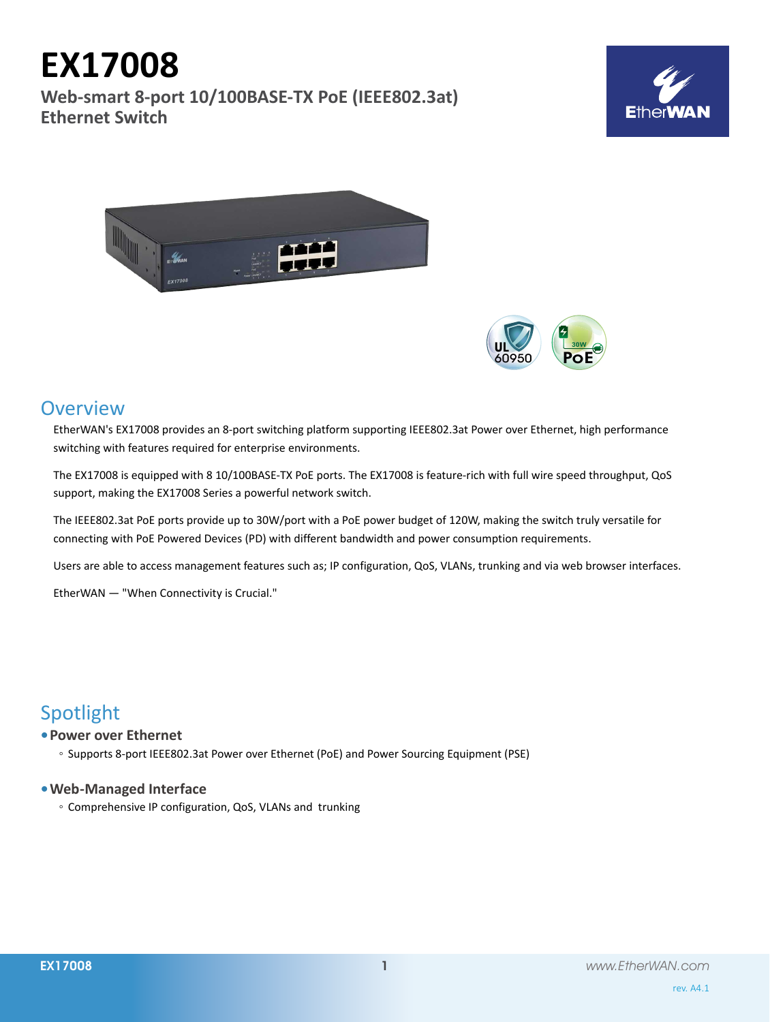# **Overview**

**EX17008**

**Ethernet Switch**

EtherWAN's EX17008 provides an 8-port switching platform supporting IEEE802.3at Power over Ethernet, high performance switching with features required for enterprise environments.

The EX17008 is equipped with 8 10/100BASE-TX PoE ports. The EX17008 is feature-rich with full wire speed throughput, QoS support, making the EX17008 Series a powerful network switch.

The IEEE802.3at PoE ports provide up to 30W/port with a PoE power budget of 120W, making the switch truly versatile for connecting with PoE Powered Devices (PD) with different bandwidth and power consumption requirements.

Users are able to access management features such as; IP configuration, QoS, VLANs, trunking and via web browser interfaces.

EtherWAN — "When Connectivity is Crucial."

# Spotlight

# **• Power over Ethernet**

◦ Supports 8-port IEEE802.3at Power over Ethernet (PoE) and Power Sourcing Equipment (PSE)

# **• Web-Managed Interface**

◦ Comprehensive IP configuration, QoS, VLANs and trunking





**Web-smart 8-port 10/100BASE-TX PoE (IEEE802.3at)**

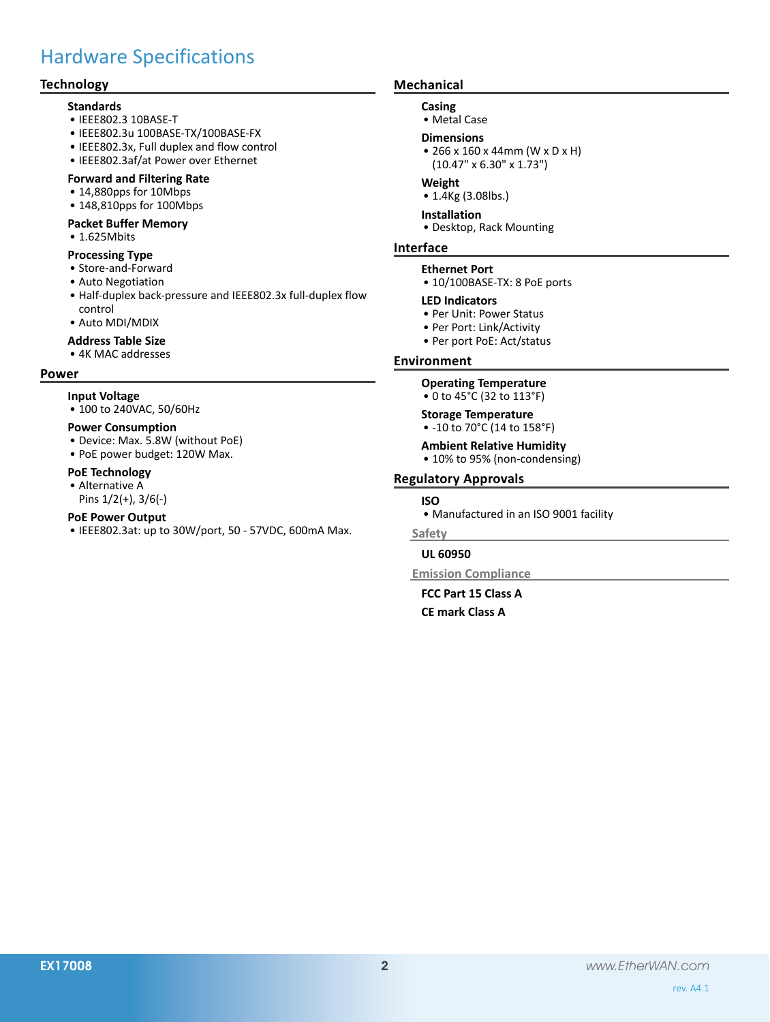# Hardware Specifications

## **Technology**

#### **Standards**

- • IEEE802.3 10BASE-T
- • IEEE802.3u 100BASE-TX/100BASE-FX
- • IEEE802.3x, Full duplex and flow control
- • IEEE802.3af/at Power over Ethernet

#### **Forward and Filtering Rate**

- 14,880pps for 10Mbps
- • 148,810pps for 100Mbps

#### **Packet Buffer Memory**

• 1.625Mbits

#### **Processing Type**

- • Store-and-Forward
- • Auto Negotiation
- • Half-duplex back-pressure and IEEE802.3x full-duplex flow control
- • Auto MDI/MDIX
- **Address Table Size**

#### • 4K MAC addresses

#### **Power**

#### **Input Voltage**

• 100 to 240VAC, 50/60Hz

#### **Power Consumption**

- • Device: Max. 5.8W (without PoE)
- PoE power budget: 120W Max.

#### **PoE Technology**

• Alternative A Pins 1/2(+), 3/6(-)

- **PoE Power Output**
- • IEEE802.3at: up to 30W/port, 50 57VDC, 600mA Max.

### **Mechanical**

#### **Casing**

• Metal Case

#### **Dimensions**

• 266 x 160 x 44mm (W x D x H) (10.47" x 6.30" x 1.73")

#### **Weight**

• 1.4Kg (3.08lbs.)

#### **Installation** • Desktop, Rack Mounting

#### **Interface**

#### **Ethernet Port**

• 10/100BASE-TX: 8 PoE ports

#### **LED Indicators**

- • Per Unit: Power Status
- • Per Port: Link/Activity
- • Per port PoE: Act/status

#### **Environment**

#### **Operating Temperature**

• 0 to 45°C (32 to 113°F)

### **Storage Temperature**

- -10 to 70°C (14 to 158°F)
- **Ambient Relative Humidity** • 10% to 95% (non-condensing)

### **Regulatory Approvals**

#### **ISO**

• Manufactured in an ISO 9001 facility

#### **Safety**

#### **UL 60950**

**Emission Compliance**

### **FCC Part 15 Class A CE mark Class A**